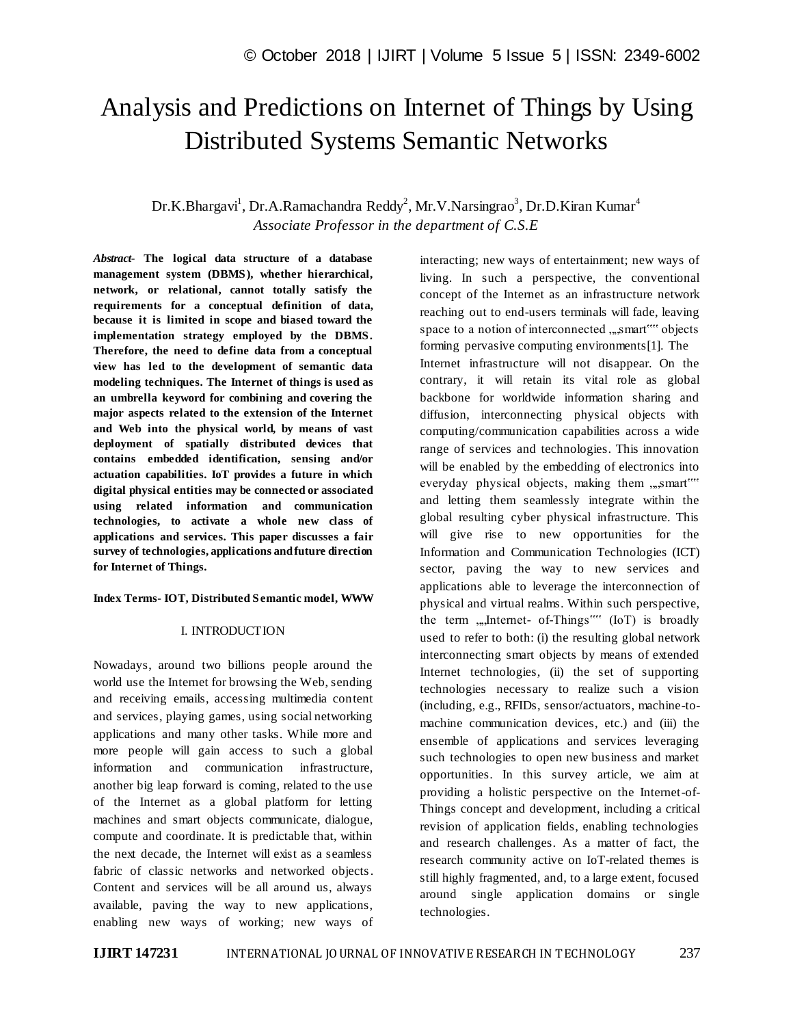# Analysis and Predictions on Internet of Things by Using Distributed Systems Semantic Networks

## Dr.K.Bhargavi<sup>1</sup>, Dr.A.Ramachandra Reddy<sup>2</sup>, Mr.V.Narsingrao<sup>3</sup>, Dr.D.Kiran Kumar<sup>4</sup> *Associate Professor in the department of C.S.E*

*Abstract*- **The logical data structure of a database management system (DBMS), whether hierarchical, network, or relational, cannot totally satisfy the requirements for a conceptual definition of data, because it is limited in scope and biased toward the implementation strategy employed by the DBMS. Therefore, the need to define data from a conceptual view has led to the development of semantic data modeling techniques. The Internet of things is used as an umbrella keyword for combining and covering the major aspects related to the extension of the Internet and Web into the physical world, by means of vast deployment of spatially distributed devices that contains embedded identification, sensing and/or actuation capabilities. IoT provides a future in which digital physical entities may be connected or associated using related information and communication technologies, to activate a whole new class of applications and services. This paper discusses a fair survey of technologies, applications and future direction for Internet of Things.**

## **Index Terms- IOT, Distributed Semantic model, WWW**

## I. INTRODUCTION

Nowadays, around two billions people around the world use the Internet for browsing the Web, sending and receiving emails, accessing multimedia content and services, playing games, using social networking applications and many other tasks. While more and more people will gain access to such a global information and communication infrastructure, another big leap forward is coming, related to the use of the Internet as a global platform for letting machines and smart objects communicate, dialogue, compute and coordinate. It is predictable that, within the next decade, the Internet will exist as a seamless fabric of classic networks and networked objects. Content and services will be all around us, always available, paving the way to new applications, enabling new ways of working; new ways of interacting; new ways of entertainment; new ways of living. In such a perspective, the conventional concept of the Internet as an infrastructure network reaching out to end-users terminals will fade, leaving space to a notion of interconnected ...smart" objects forming pervasive computing environments[1]. The Internet infrastructure will not disappear. On the contrary, it will retain its vital role as global backbone for worldwide information sharing and diffusion, interconnecting physical objects with computing/communication capabilities across a wide range of services and technologies. This innovation will be enabled by the embedding of electronics into everyday physical objects, making them  $\ldots$ smart $\ldots$ and letting them seamlessly integrate within the global resulting cyber physical infrastructure. This will give rise to new opportunities for the Information and Communication Technologies (ICT) sector, paving the way to new services and applications able to leverage the interconnection of physical and virtual realms. Within such perspective, the term  $,$  Internet- of-Things"" (IoT) is broadly used to refer to both: (i) the resulting global network interconnecting smart objects by means of extended Internet technologies, (ii) the set of supporting technologies necessary to realize such a vision (including, e.g., RFIDs, sensor/actuators, machine-tomachine communication devices, etc.) and (iii) the ensemble of applications and services leveraging such technologies to open new business and market opportunities. In this survey article, we aim at providing a holistic perspective on the Internet-of-Things concept and development, including a critical revision of application fields, enabling technologies and research challenges. As a matter of fact, the research community active on IoT-related themes is still highly fragmented, and, to a large extent, focused around single application domains or single technologies.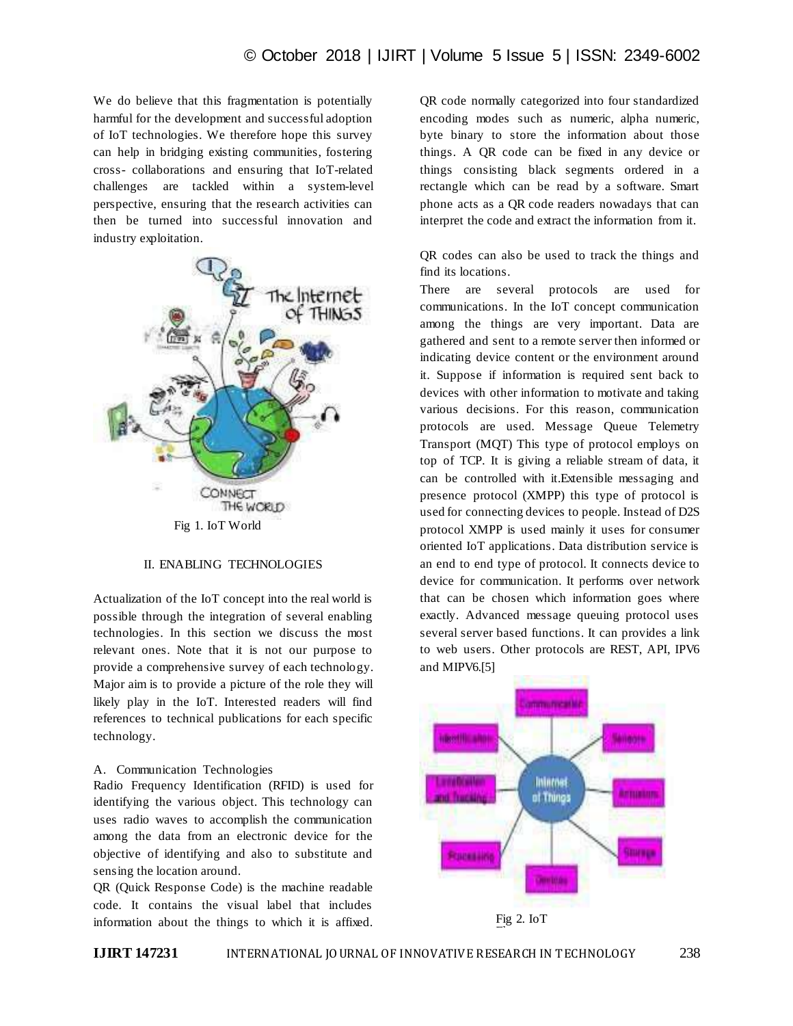We do believe that this fragmentation is potentially harmful for the development and successful adoption of IoT technologies. We therefore hope this survey can help in bridging existing communities, fostering cross- collaborations and ensuring that IoT-related challenges are tackled within a system-level perspective, ensuring that the research activities can then be turned into successful innovation and industry exploitation.



## II. ENABLING TECHNOLOGIES

Actualization of the IoT concept into the real world is possible through the integration of several enabling technologies. In this section we discuss the most relevant ones. Note that it is not our purpose to provide a comprehensive survey of each technology. Major aim is to provide a picture of the role they will likely play in the IoT. Interested readers will find references to technical publications for each specific technology.

## A. Communication Technologies

Radio Frequency Identification (RFID) is used for identifying the various object. This technology can uses radio waves to accomplish the communication among the data from an electronic device for the objective of identifying and also to substitute and sensing the location around.

QR (Quick Response Code) is the machine readable code. It contains the visual label that includes information about the things to which it is affixed. QR code normally categorized into four standardized encoding modes such as numeric, alpha numeric, byte binary to store the information about those things. A QR code can be fixed in any device or things consisting black segments ordered in a rectangle which can be read by a software. Smart phone acts as a QR code readers nowadays that can interpret the code and extract the information from it.

QR codes can also be used to track the things and find its locations.

There are several protocols are used for communications. In the IoT concept communication among the things are very important. Data are gathered and sent to a remote server then informed or indicating device content or the environment around it. Suppose if information is required sent back to devices with other information to motivate and taking various decisions. For this reason, communication protocols are used. Message Queue Telemetry Transport (MQT) This type of protocol employs on top of TCP. It is giving a reliable stream of data, it can be controlled with it.Extensible messaging and presence protocol (XMPP) this type of protocol is used for connecting devices to people. Instead of D2S protocol XMPP is used mainly it uses for consumer oriented IoT applications. Data distribution service is an end to end type of protocol. It connects device to device for communication. It performs over network that can be chosen which information goes where exactly. Advanced message queuing protocol uses several server based functions. It can provides a link to web users. Other protocols are REST, API, IPV6 and MIPV6.[5]

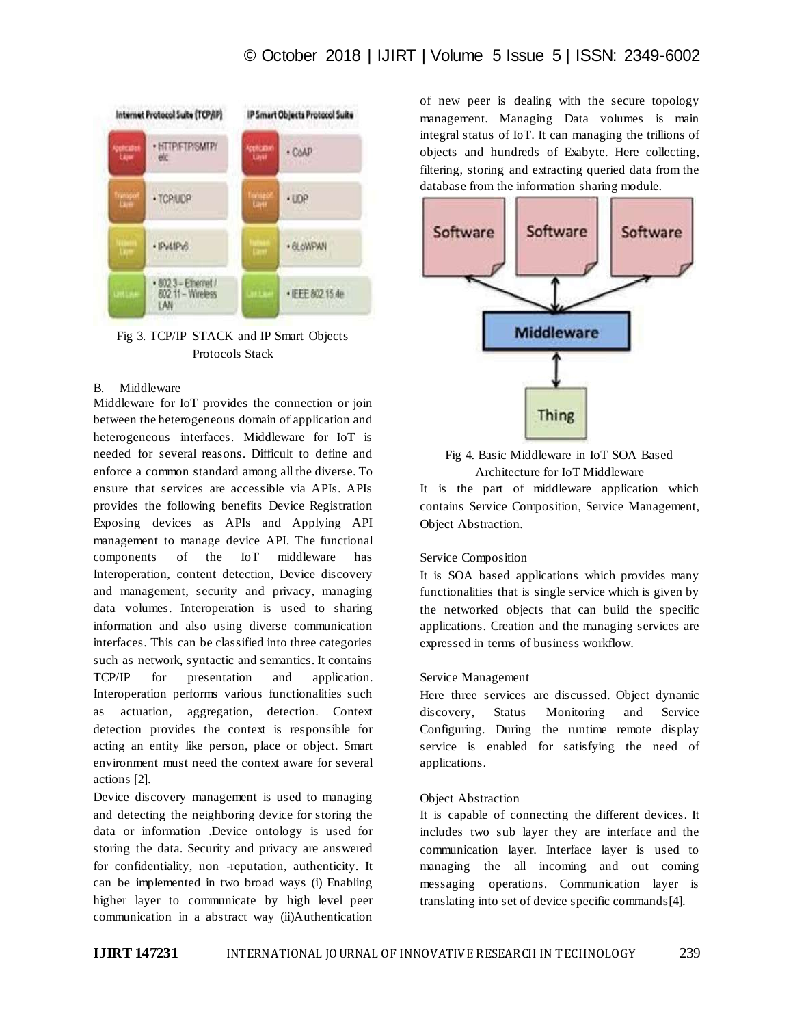

Fig 3. TCP/IP STACK and IP Smart Objects Protocols Stack

## B. Middleware

Middleware for IoT provides the connection or join between the heterogeneous domain of application and heterogeneous interfaces. Middleware for IoT is needed for several reasons. Difficult to define and enforce a common standard among all the diverse. To ensure that services are accessible via APIs. APIs provides the following benefits Device Registration Exposing devices as APIs and Applying API management to manage device API. The functional components of the IoT middleware has Interoperation, content detection, Device discovery and management, security and privacy, managing data volumes. Interoperation is used to sharing information and also using diverse communication interfaces. This can be classified into three categories such as network, syntactic and semantics. It contains TCP/IP for presentation and application. Interoperation performs various functionalities such as actuation, aggregation, detection. Context detection provides the context is responsible for acting an entity like person, place or object. Smart environment must need the context aware for several actions [2].

Device discovery management is used to managing and detecting the neighboring device for storing the data or information .Device ontology is used for storing the data. Security and privacy are answered for confidentiality, non -reputation, authenticity. It can be implemented in two broad ways (i) Enabling higher layer to communicate by high level peer communication in a abstract way (ii)Authentication

of new peer is dealing with the secure topology management. Managing Data volumes is main integral status of IoT. It can managing the trillions of objects and hundreds of Exabyte. Here collecting, filtering, storing and extracting queried data from the database from the information sharing module.



Fig 4. Basic Middleware in IoT SOA Based Architecture for IoT Middleware

It is the part of middleware application which contains Service Composition, Service Management, Object Abstraction.

## Service Composition

It is SOA based applications which provides many functionalities that is single service which is given by the networked objects that can build the specific applications. Creation and the managing services are expressed in terms of business workflow.

## Service Management

Here three services are discussed. Object dynamic discovery, Status Monitoring and Service Configuring. During the runtime remote display service is enabled for satisfying the need of applications.

## Object Abstraction

It is capable of connecting the different devices. It includes two sub layer they are interface and the communication layer. Interface layer is used to managing the all incoming and out coming messaging operations. Communication layer is translating into set of device specific commands[4].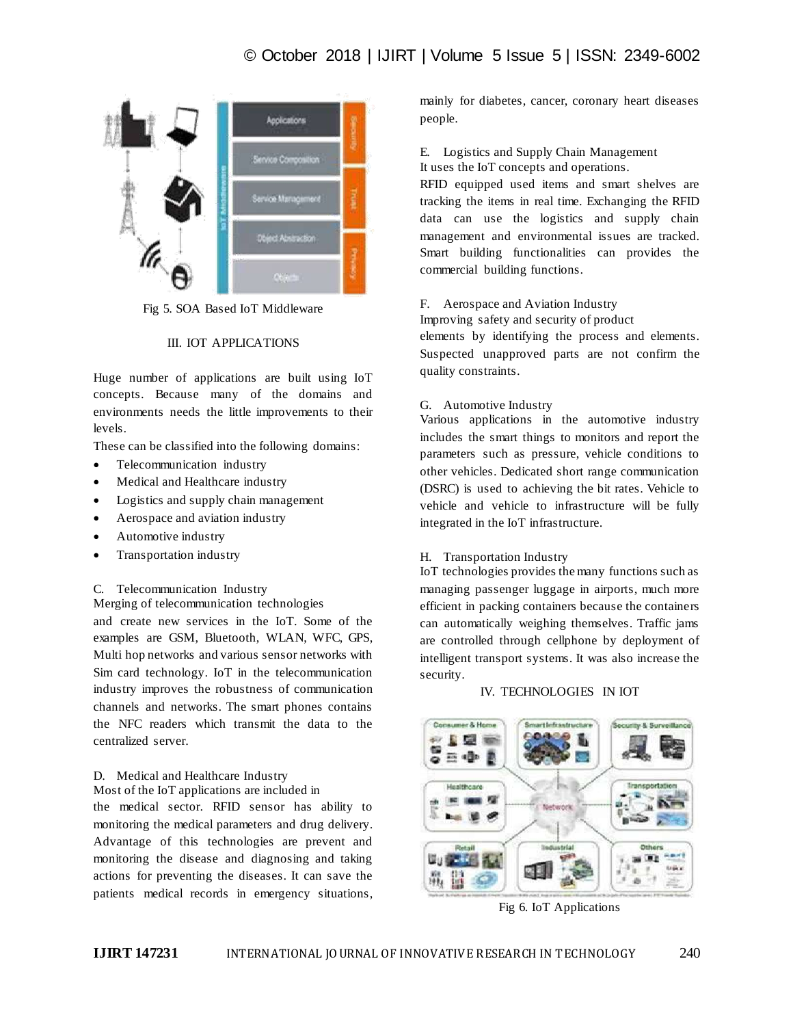

Fig 5. SOA Based IoT Middleware

## III. IOT APPLICATIONS

Huge number of applications are built using IoT concepts. Because many of the domains and environments needs the little improvements to their levels.

These can be classified into the following domains:

- Telecommunication industry
- Medical and Healthcare industry
- Logistics and supply chain management
- Aerospace and aviation industry
- Automotive industry
- Transportation industry

# C. Telecommunication Industry

Merging of telecommunication technologies and create new services in the IoT. Some of the examples are GSM, Bluetooth, WLAN, WFC, GPS, Multi hop networks and various sensor networks with Sim card technology. IoT in the telecommunication industry improves the robustness of communication channels and networks. The smart phones contains the NFC readers which transmit the data to the centralized server.

## D. Medical and Healthcare Industry

Most of the IoT applications are included in

the medical sector. RFID sensor has ability to monitoring the medical parameters and drug delivery. Advantage of this technologies are prevent and monitoring the disease and diagnosing and taking actions for preventing the diseases. It can save the patients medical records in emergency situations, mainly for diabetes, cancer, coronary heart diseases people.

E. Logistics and Supply Chain Management It uses the IoT concepts and operations.

RFID equipped used items and smart shelves are tracking the items in real time. Exchanging the RFID data can use the logistics and supply chain management and environmental issues are tracked. Smart building functionalities can provides the commercial building functions.

## F. Aerospace and Aviation Industry

Improving safety and security of product

elements by identifying the process and elements. Suspected unapproved parts are not confirm the quality constraints.

## G. Automotive Industry

Various applications in the automotive industry includes the smart things to monitors and report the parameters such as pressure, vehicle conditions to other vehicles. Dedicated short range communication (DSRC) is used to achieving the bit rates. Vehicle to vehicle and vehicle to infrastructure will be fully integrated in the IoT infrastructure.

## H. Transportation Industry

IoT technologies provides the many functions such as managing passenger luggage in airports, much more efficient in packing containers because the containers can automatically weighing themselves. Traffic jams are controlled through cellphone by deployment of intelligent transport systems. It was also increase the security.

## IV. TECHNOLOGIES IN IOT



Fig 6. IoT Applications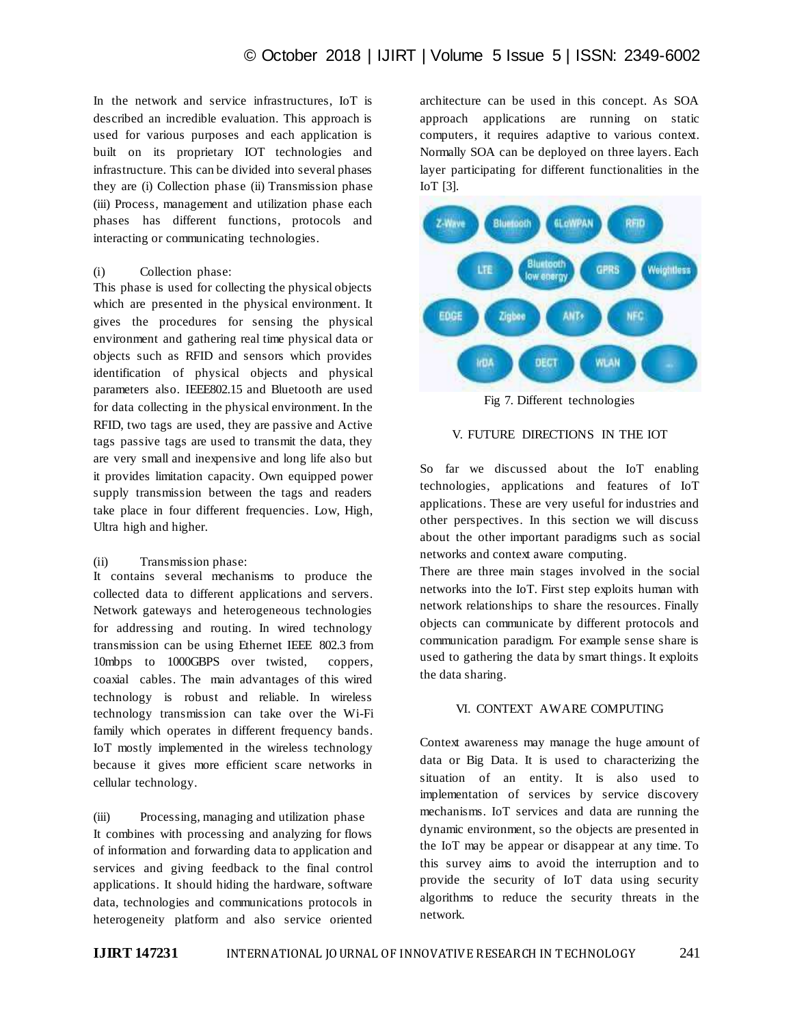In the network and service infrastructures, IoT is described an incredible evaluation. This approach is used for various purposes and each application is built on its proprietary IOT technologies and infrastructure. This can be divided into several phases they are (i) Collection phase (ii) Transmission phase (iii) Process, management and utilization phase each phases has different functions, protocols and interacting or communicating technologies.

## (i) Collection phase:

This phase is used for collecting the physical objects which are presented in the physical environment. It gives the procedures for sensing the physical environment and gathering real time physical data or objects such as RFID and sensors which provides identification of physical objects and physical parameters also. IEEE802.15 and Bluetooth are used for data collecting in the physical environment. In the RFID, two tags are used, they are passive and Active tags passive tags are used to transmit the data, they are very small and inexpensive and long life also but it provides limitation capacity. Own equipped power supply transmission between the tags and readers take place in four different frequencies. Low, High, Ultra high and higher.

## (ii) Transmission phase:

It contains several mechanisms to produce the collected data to different applications and servers. Network gateways and heterogeneous technologies for addressing and routing. In wired technology transmission can be using Ethernet IEEE 802.3 from 10mbps to 1000GBPS over twisted, coppers, coaxial cables. The main advantages of this wired technology is robust and reliable. In wireless technology transmission can take over the Wi-Fi family which operates in different frequency bands. IoT mostly implemented in the wireless technology because it gives more efficient scare networks in cellular technology.

(iii) Processing, managing and utilization phase It combines with processing and analyzing for flows of information and forwarding data to application and services and giving feedback to the final control applications. It should hiding the hardware, software data, technologies and communications protocols in heterogeneity platform and also service oriented architecture can be used in this concept. As SOA approach applications are running on static computers, it requires adaptive to various context. Normally SOA can be deployed on three layers. Each layer participating for different functionalities in the IoT [3].



Fig 7. Different technologies

## V. FUTURE DIRECTIONS IN THE IOT

So far we discussed about the IoT enabling technologies, applications and features of IoT applications. These are very useful for industries and other perspectives. In this section we will discuss about the other important paradigms such as social networks and context aware computing.

There are three main stages involved in the social networks into the IoT. First step exploits human with network relationships to share the resources. Finally objects can communicate by different protocols and communication paradigm. For example sense share is used to gathering the data by smart things. It exploits the data sharing.

## VI. CONTEXT AWARE COMPUTING

Context awareness may manage the huge amount of data or Big Data. It is used to characterizing the situation of an entity. It is also used to implementation of services by service discovery mechanisms. IoT services and data are running the dynamic environment, so the objects are presented in the IoT may be appear or disappear at any time. To this survey aims to avoid the interruption and to provide the security of IoT data using security algorithms to reduce the security threats in the network.